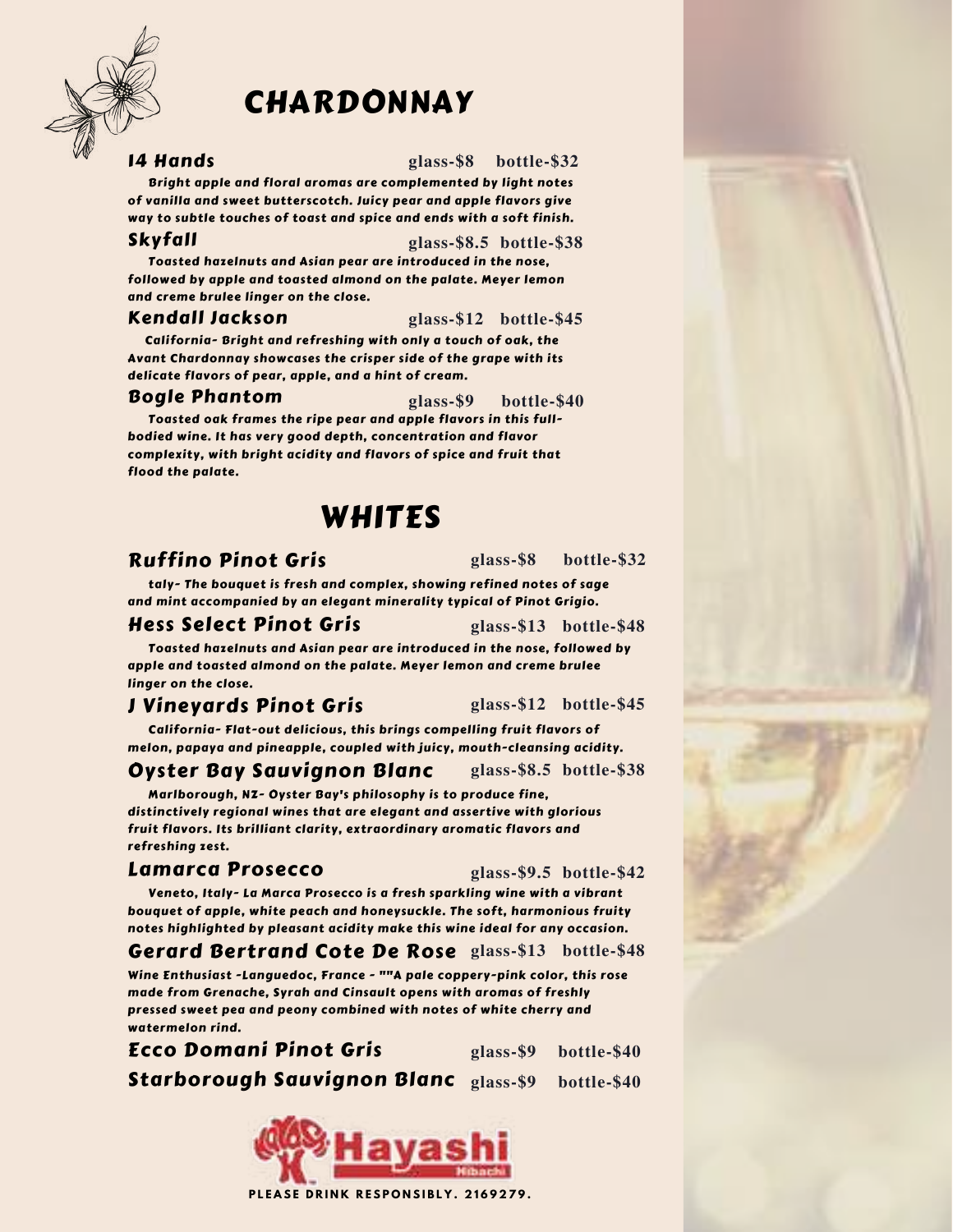

# CHARDONNAY

#### 14 Hands

**glass-\$8 bottle-\$32**

Bright apple and floral aromas are complemented by light notes of vanilla and sweet butterscotch. Juicy pear and apple flavors give way to subtle touches of toast and spice and ends with a soft finish.

#### Skyfall

#### **glass-\$8.5 bottle-\$38**

Toasted hazelnuts and Asian pear are introduced in the nose, followed by apple and toasted almond on the palate. Meyer lemon and creme brulee linger on the close.

#### Kendall Jackson

**glass-\$12 bottle-\$45**

California- Bright and refreshing with only a touch of oak, the Avant Chardonnay showcases the crisper side of the grape with its delicate flavors of pear, apple, and a hint of cream.

#### Bogle Phantom

**glass-\$9 bottle-\$40**

Toasted oak frames the ripe pear and apple flavors in this fullbodied wine. It has very good depth, concentration and flavor complexity, with bright acidity and flavors of spice and fruit that flood the palate.

# WHITES

# Ruffino Pinot Gris

**glass-\$8 bottle-\$32**

taly- The bouquet is fresh and complex, showing refined notes of sage and mint accompanied by an elegant minerality typical of Pinot Grigio.

### Hess Select Pinot Gris

**glass-\$13 bottle-\$48**

Toasted hazelnuts and Asian pear are introduced in the nose, followed by apple and toasted almond on the palate. Meyer lemon and creme brulee linger on the close.

# J Vineyards Pinot Gris

**glass-\$12 bottle-\$45**

**glass-\$8.5 bottle-\$38**

California- Flat-out delicious, this brings compelling fruit flavors of melon, papaya and pineapple, coupled with juicy, mouth-cleansing acidity.

### Oyster Bay Sauvignon Blanc

Marlborough, NZ- Oyster Bay's philosophy is to produce fine, distinctively regional wines that are elegant and assertive with glorious fruit flavors. Its brilliant clarity, extraordinary aromatic flavors and refreshing zest.

### Lamarca Prosecco

**glass-\$9.5 bottle-\$42**

Veneto, Italy- La Marca Prosecco is a fresh sparkling wine with a vibrant bouquet of apple, white peach and honeysuckle. The soft, harmonious fruity notes highlighted by pleasant acidity make this wine ideal for any occasion.

Gerard Bertrand Cote De Rose **glass-\$13 bottle-\$48**

Wine Enthusiast -Languedoc, France - ""A pale coppery-pink color, this rose made from Grenache, Syrah and Cinsault opens with aromas of freshly pressed sweet pea and peony combined with notes of white cherry and watermelon rind.

Ecco Domani Pinot Gris Starborough Sauvignon Blanc **glass-\$9 bottle-\$40glass-\$9 bottle-\$40**

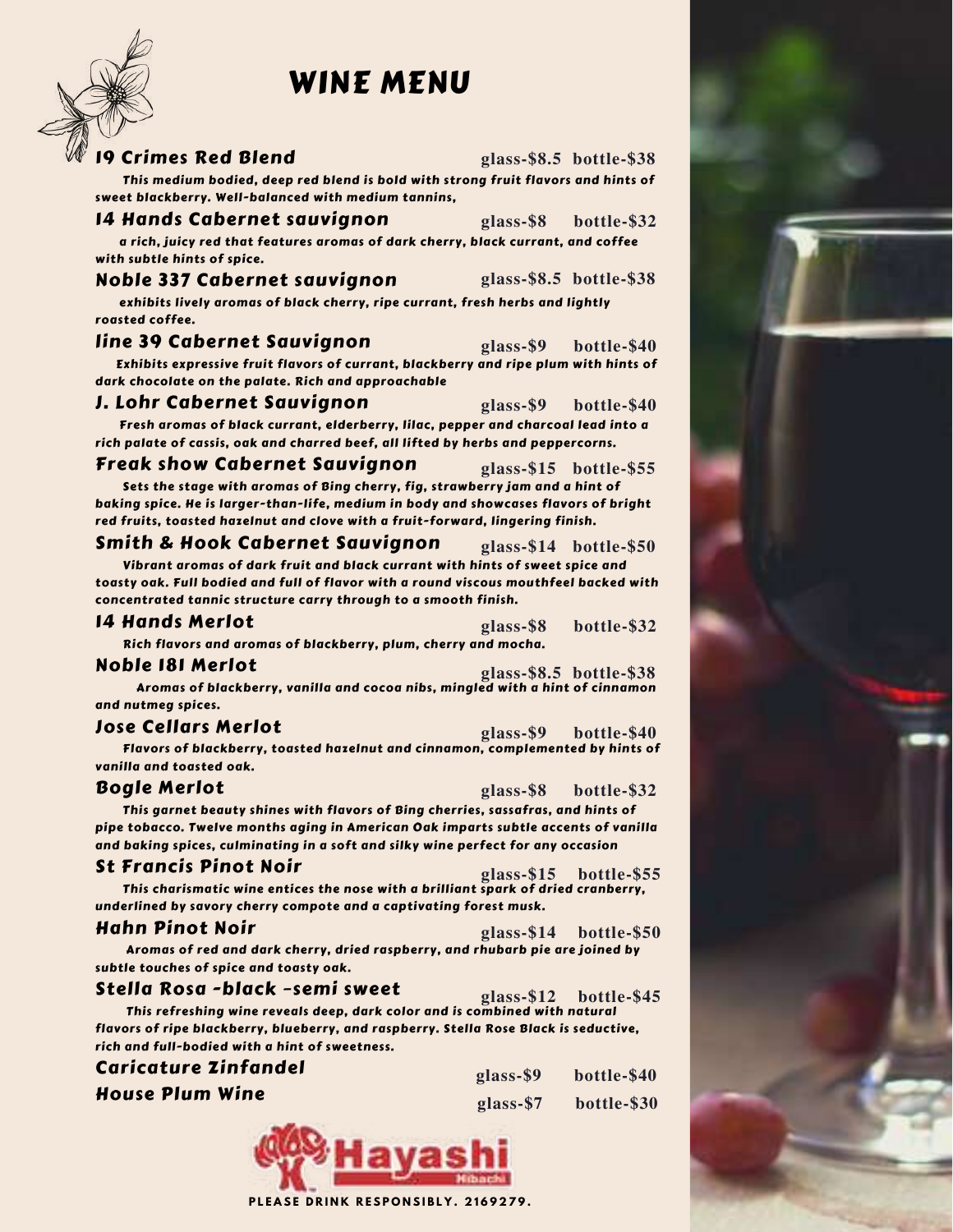# WINE MENU



**glass-\$8.5 bottle-\$38**

This medium bodied, deep red blend is bold with strong fruit flavors and hints of sweet blackberry. Well-balanced with medium tannins,

#### 14 Hands Cabernet sauvignon

**glass-\$8 bottle-\$32**

a rich, juicy red that features aromas of dark cherry, black currant, and coffee with subtle hints of spice.

#### Noble 337 Cabernet sauvignon

**glass-\$8.5 bottle-\$38**

exhibits lively aromas of black cherry, ripe currant, fresh herbs and lightly roasted coffee.

#### line 39 Cabernet Sauvignon **glass-\$9 bottle-\$40**

Exhibits expressive fruit flavors of currant, blackberry and ripe plum with hints of dark chocolate on the palate. Rich and approachable

#### J. Lohr Cabernet Sauvignon

**glass-\$9 bottle-\$40**

Fresh aromas of black currant, elderberry, lilac, pepper and charcoal lead into a rich palate of cassis, oak and charred beef, all lifted by herbs and peppercorns.

#### Freak show Cabernet Sauvignon

**glass-\$15 bottle-\$55**

Sets the stage with aromas of Bing cherry, fig, strawberry jam and a hint of baking spice. He is larger-than-life, medium in body and showcases flavors of bright red fruits, toasted hazelnut and clove with a fruit-forward, lingering finish.

#### Smith & Hook Cabernet Sauvignon **glass-\$14 bottle-\$50**

Vibrant aromas of dark fruit and black currant with hints of sweet spice and toasty oak. Full bodied and full of flavor with a round viscous mouthfeel backed with concentrated tannic structure carry through to a smooth finish.

| <b>14 Hands Merlot</b> | glass-\$8 bottle-\$32 |  |
|------------------------|-----------------------|--|
|------------------------|-----------------------|--|

Rich flavors and aromas of blackberry, plum, cherry and mocha.

#### Noble 181 Merlot

**glass-\$8.5 bottle-\$38**

Aromas of blackberry, vanilla and cocoa nibs, mingled with a hint of cinnamon and nutmeg spices.

#### Jose Cellars Merlot

Flavors of blackberry, toasted hazelnut and cinnamon, complemented by hints of vanilla and toasted oak. **glass-\$9 bottle-\$40**

#### Bogle Merlot

**glass-\$8 bottle-\$32**

This garnet beauty shines with flavors of Bing cherries, sassafras, and hints of pipe tobacco. Twelve months aging in American Oak imparts subtle accents of vanilla and baking spices, culminating in a soft and silky wine perfect for any occasion

#### St Francis Pinot Noir

```
glass-$15 bottle-$55
```
This charismatic wine entices the nose with a brilliant spark of dried cranberry, underlined by savory cherry compote and a captivating forest musk.

#### Hahn Pinot Noir

**glass-\$14 bottle-\$50**

Aromas of red and dark cherry, dried raspberry, and rhubarb pie are joined by subtle touches of spice and toasty oak.

#### Stella Rosa -black –semi sweet

This refreshing wine reveals deep, dark color and is combined with natural flavors of ripe blackberry, blueberry, and raspberry. Stella Rose Black is seductive, rich and full-bodied with a hint of sweetness. **glass-\$12 bottle-\$45**

## Caricature Zinfandel

House Plum Wine

| glass-\$9 | bottle-\$40 |
|-----------|-------------|
| glass-\$7 | bottle-\$30 |

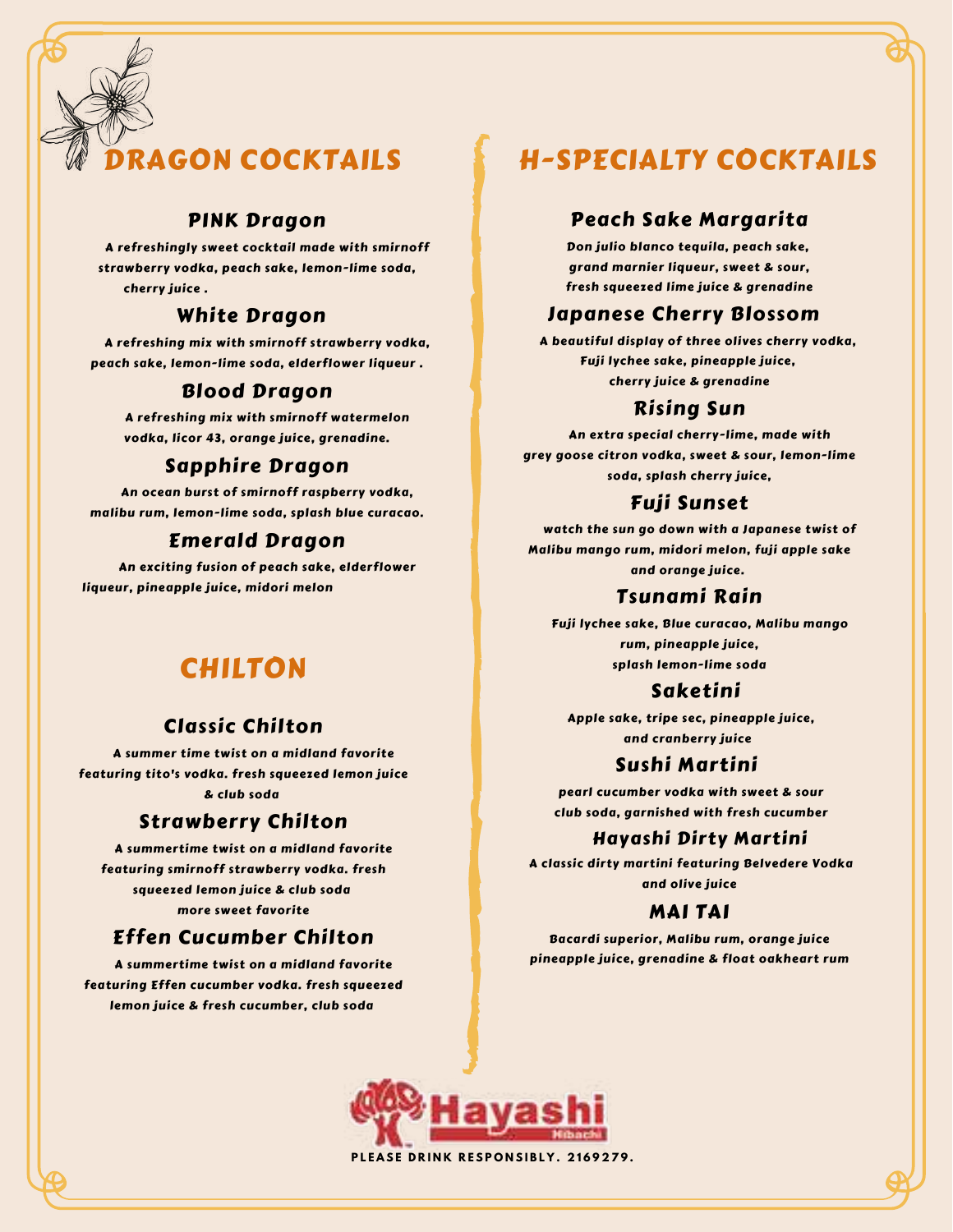# **AGON COCKTAILS**

### PINK Dragon

A refreshingly sweet cocktail made with smirnoff strawberry vodka, peach sake, lemon-lime soda, cherry juice .

### White Dragon

A refreshing mix with smirnoff strawberry vodka, peach sake, lemon-lime soda, elderflower liqueur .

## Blood Dragon

A refreshing mix with smirnoff watermelon vodka, licor 43, orange juice, grenadine.

### Sapphire Dragon

An ocean burst of smirnoff raspberry vodka, malibu rum, lemon-lime soda, splash blue curacao.

#### Emerald Dragon

An exciting fusion of peach sake, elderflower liqueur, pineapple juice, midori melon

# CHILTON

# Classic Chilton

A summer time twist on a midland favorite featuring tito's vodka. fresh squeezed lemon juice & club soda

### Strawberry Chilton

A summertime twist on a midland favorite featuring smirnoff strawberry vodka. fresh squeezed lemon juice & club soda more sweet favorite

## Effen Cucumber Chilton

A summertime twist on a midland favorite featuring Effen cucumber vodka. fresh squeezed lemon juice & fresh cucumber, club soda

# H-SPECIALTY COCKTAILS

### Peach Sake Margarita

Don julio blanco tequila, peach sake, grand marnier liqueur, sweet & sour, fresh squeezed lime juice & grenadine

### Japanese Cherry Blossom

A beautiful display of three olives cherry vodka, Fuji lychee sake, pineapple juice, cherry juice & grenadine

## Rising Sun

An extra special cherry-lime, made with grey goose citron vodka, sweet & sour, lemon-lime soda, splash cherry juice,

## Fuji Sunset

watch the sun go down with a Japanese twist of Malibu mango rum, midori melon, fuji apple sake and orange juice.

### Tsunami Rain

Fuji lychee sake, Blue curacao, Malibu mango rum, pineapple juice, splash lemon-lime soda

## Saketini

Apple sake, tripe sec, pineapple juice, and cranberry juice

## Sushi Martini

pearl cucumber vodka with sweet & sour club soda, garnished with fresh cucumber

### Hayashi Dirty Martini

A classic dirty martini featuring Belvedere Vodka and olive juice

## MAI TAI

Bacardi superior, Malibu rum, orange juice pineapple juice, grenadine & float oakheart rum



PLEASE DRINK RESPONSIBLY. 2169279.